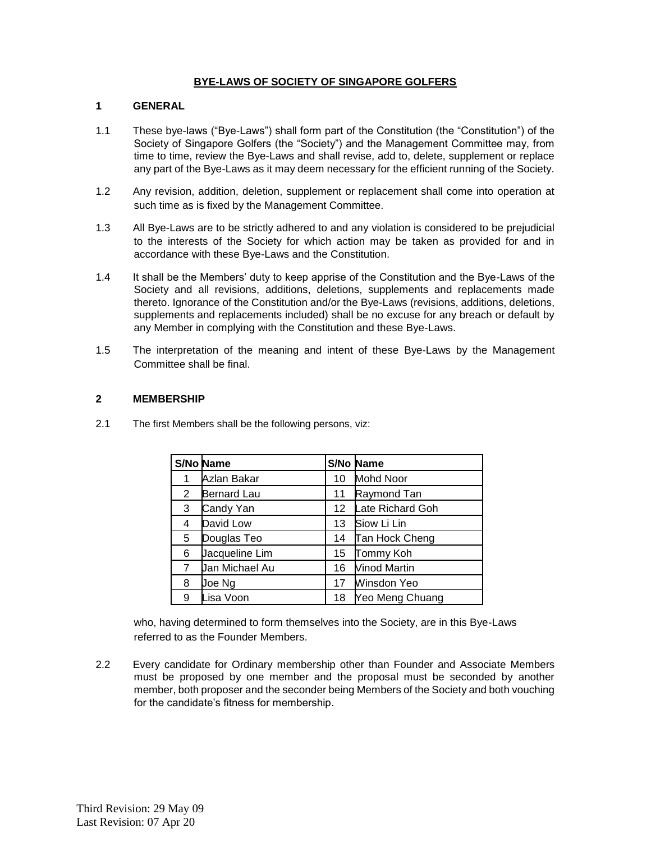### **BYE-LAWS OF SOCIETY OF SINGAPORE GOLFERS**

# **1 GENERAL**

- 1.1 These bye-laws ("Bye-Laws") shall form part of the Constitution (the "Constitution") of the Society of Singapore Golfers (the "Society") and the Management Committee may, from time to time, review the Bye-Laws and shall revise, add to, delete, supplement or replace any part of the Bye-Laws as it may deem necessary for the efficient running of the Society.
- 1.2 Any revision, addition, deletion, supplement or replacement shall come into operation at such time as is fixed by the Management Committee.
- 1.3 All Bye-Laws are to be strictly adhered to and any violation is considered to be prejudicial to the interests of the Society for which action may be taken as provided for and in accordance with these Bye-Laws and the Constitution.
- 1.4 It shall be the Members' duty to keep apprise of the Constitution and the Bye-Laws of the Society and all revisions, additions, deletions, supplements and replacements made thereto. Ignorance of the Constitution and/or the Bye-Laws (revisions, additions, deletions, supplements and replacements included) shall be no excuse for any breach or default by any Member in complying with the Constitution and these Bye-Laws.
- 1.5 The interpretation of the meaning and intent of these Bye-Laws by the Management Committee shall be final.

#### **2 MEMBERSHIP**

2.1 The first Members shall be the following persons, viz:

|                      | <b>S/No Name</b>   |    | <b>S/No Name</b>    |
|----------------------|--------------------|----|---------------------|
|                      | Azlan Bakar        | 10 | <b>Mohd Noor</b>    |
| $\mathbf{2}^{\circ}$ | <b>Bernard Lau</b> | 11 | Raymond Tan         |
| 3                    | Candy Yan          | 12 | Late Richard Goh    |
| 4                    | David Low          | 13 | Siow Li Lin         |
| 5                    | Douglas Teo        | 14 | Tan Hock Cheng      |
| 6                    | Jacqueline Lim     | 15 | Tommy Koh           |
| $\overline{7}$       | Jan Michael Au     | 16 | <b>Vinod Martin</b> |
| 8                    | Joe Ng             | 17 | Winsdon Yeo         |
| 9                    | Lisa Voon          | 18 | Yeo Meng Chuang     |

who, having determined to form themselves into the Society, are in this Bye-Laws referred to as the Founder Members.

2.2 Every candidate for Ordinary membership other than Founder and Associate Members must be proposed by one member and the proposal must be seconded by another member, both proposer and the seconder being Members of the Society and both vouching for the candidate's fitness for membership.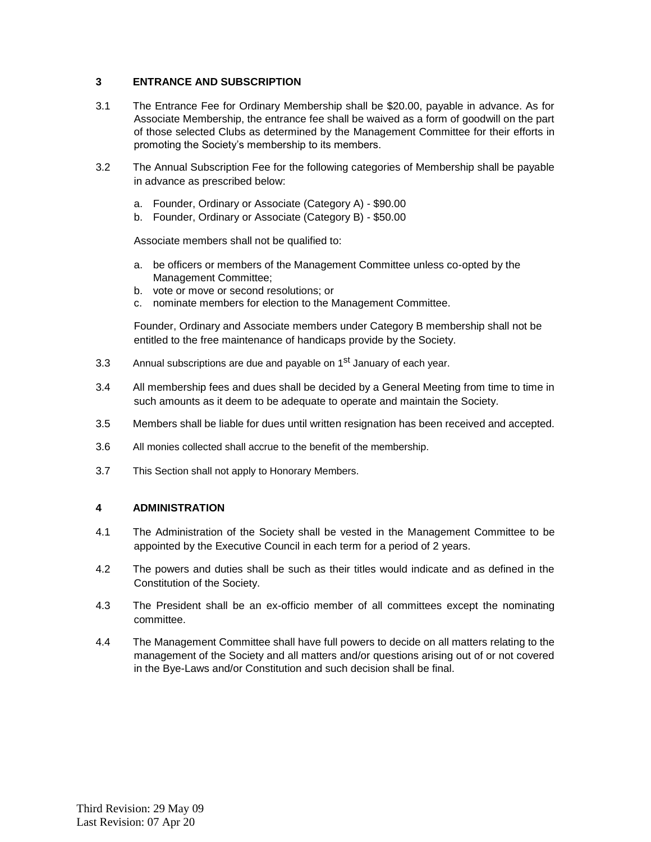## **3 ENTRANCE AND SUBSCRIPTION**

- 3.1 The Entrance Fee for Ordinary Membership shall be \$20.00, payable in advance. As for Associate Membership, the entrance fee shall be waived as a form of goodwill on the part of those selected Clubs as determined by the Management Committee for their efforts in promoting the Society's membership to its members.
- 3.2 The Annual Subscription Fee for the following categories of Membership shall be payable in advance as prescribed below:
	- a. Founder, Ordinary or Associate (Category A) \$90.00
	- b. Founder, Ordinary or Associate (Category B) \$50.00

Associate members shall not be qualified to:

- a. be officers or members of the Management Committee unless co-opted by the Management Committee;
- b. vote or move or second resolutions; or
- c. nominate members for election to the Management Committee.

Founder, Ordinary and Associate members under Category B membership shall not be entitled to the free maintenance of handicaps provide by the Society.

- 3.3 Annual subscriptions are due and payable on 1<sup>st</sup> January of each year.
- 3.4 All membership fees and dues shall be decided by a General Meeting from time to time in such amounts as it deem to be adequate to operate and maintain the Society.
- 3.5 Members shall be liable for dues until written resignation has been received and accepted.
- 3.6 All monies collected shall accrue to the benefit of the membership.
- 3.7 This Section shall not apply to Honorary Members.

### **4 ADMINISTRATION**

- 4.1 The Administration of the Society shall be vested in the Management Committee to be appointed by the Executive Council in each term for a period of 2 years.
- 4.2 The powers and duties shall be such as their titles would indicate and as defined in the Constitution of the Society.
- 4.3 The President shall be an ex-officio member of all committees except the nominating committee.
- 4.4 The Management Committee shall have full powers to decide on all matters relating to the management of the Society and all matters and/or questions arising out of or not covered in the Bye-Laws and/or Constitution and such decision shall be final.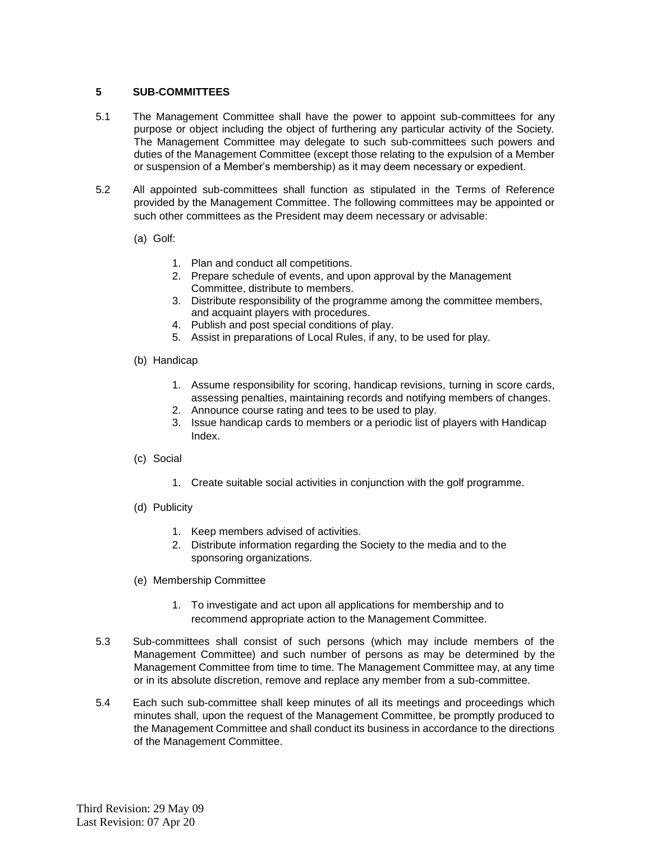#### **5 SUB-COMMITTEES**

- 5.1 The Management Committee shall have the power to appoint sub-committees for any purpose or object including the object of furthering any particular activity of the Society. The Management Committee may delegate to such sub-committees such powers and duties of the Management Committee (except those relating to the expulsion of a Member or suspension of a Member's membership) as it may deem necessary or expedient.
- 5.2 All appointed sub-committees shall function as stipulated in the Terms of Reference provided by the Management Committee. The following committees may be appointed or such other committees as the President may deem necessary or advisable:
	- (a) Golf:
		- 1. Plan and conduct all competitions.
		- 2. Prepare schedule of events, and upon approval by the Management Committee, distribute to members.
		- 3. Distribute responsibility of the programme among the committee members, and acquaint players with procedures.
		- 4. Publish and post special conditions of play.
		- 5. Assist in preparations of Local Rules, if any, to be used for play.
	- (b) Handicap
		- 1. Assume responsibility for scoring, handicap revisions, turning in score cards, assessing penalties, maintaining records and notifying members of changes.
		- 2. Announce course rating and tees to be used to play.
		- 3. Issue handicap cards to members or a periodic list of players with Handicap Index.
	- (c) Social
		- 1. Create suitable social activities in conjunction with the golf programme.
	- (d) Publicity
		- 1. Keep members advised of activities.
		- 2. Distribute information regarding the Society to the media and to the sponsoring organizations.
	- (e) Membership Committee
		- 1. To investigate and act upon all applications for membership and to recommend appropriate action to the Management Committee.
- 5.3 Sub-committees shall consist of such persons (which may include members of the Management Committee) and such number of persons as may be determined by the Management Committee from time to time. The Management Committee may, at any time or in its absolute discretion, remove and replace any member from a sub-committee.
- 5.4 Each such sub-committee shall keep minutes of all its meetings and proceedings which minutes shall, upon the request of the Management Committee, be promptly produced to the Management Committee and shall conduct its business in accordance to the directions of the Management Committee.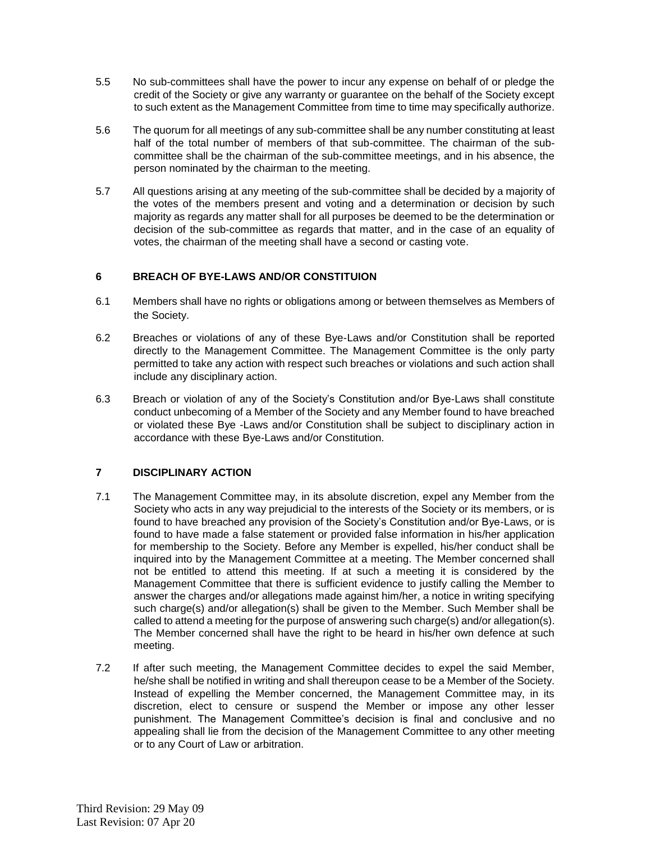- 5.5 No sub-committees shall have the power to incur any expense on behalf of or pledge the credit of the Society or give any warranty or guarantee on the behalf of the Society except to such extent as the Management Committee from time to time may specifically authorize.
- 5.6 The quorum for all meetings of any sub-committee shall be any number constituting at least half of the total number of members of that sub-committee. The chairman of the subcommittee shall be the chairman of the sub-committee meetings, and in his absence, the person nominated by the chairman to the meeting.
- 5.7 All questions arising at any meeting of the sub-committee shall be decided by a majority of the votes of the members present and voting and a determination or decision by such majority as regards any matter shall for all purposes be deemed to be the determination or decision of the sub-committee as regards that matter, and in the case of an equality of votes, the chairman of the meeting shall have a second or casting vote.

# **6 BREACH OF BYE-LAWS AND/OR CONSTITUION**

- 6.1 Members shall have no rights or obligations among or between themselves as Members of the Society.
- 6.2 Breaches or violations of any of these Bye-Laws and/or Constitution shall be reported directly to the Management Committee. The Management Committee is the only party permitted to take any action with respect such breaches or violations and such action shall include any disciplinary action.
- 6.3 Breach or violation of any of the Society's Constitution and/or Bye-Laws shall constitute conduct unbecoming of a Member of the Society and any Member found to have breached or violated these Bye -Laws and/or Constitution shall be subject to disciplinary action in accordance with these Bye-Laws and/or Constitution.

# **7 DISCIPLINARY ACTION**

- 7.1 The Management Committee may, in its absolute discretion, expel any Member from the Society who acts in any way prejudicial to the interests of the Society or its members, or is found to have breached any provision of the Society's Constitution and/or Bye-Laws, or is found to have made a false statement or provided false information in his/her application for membership to the Society. Before any Member is expelled, his/her conduct shall be inquired into by the Management Committee at a meeting. The Member concerned shall not be entitled to attend this meeting. If at such a meeting it is considered by the Management Committee that there is sufficient evidence to justify calling the Member to answer the charges and/or allegations made against him/her, a notice in writing specifying such charge(s) and/or allegation(s) shall be given to the Member. Such Member shall be called to attend a meeting for the purpose of answering such charge(s) and/or allegation(s). The Member concerned shall have the right to be heard in his/her own defence at such meeting.
- 7.2 If after such meeting, the Management Committee decides to expel the said Member, he/she shall be notified in writing and shall thereupon cease to be a Member of the Society. Instead of expelling the Member concerned, the Management Committee may, in its discretion, elect to censure or suspend the Member or impose any other lesser punishment. The Management Committee's decision is final and conclusive and no appealing shall lie from the decision of the Management Committee to any other meeting or to any Court of Law or arbitration.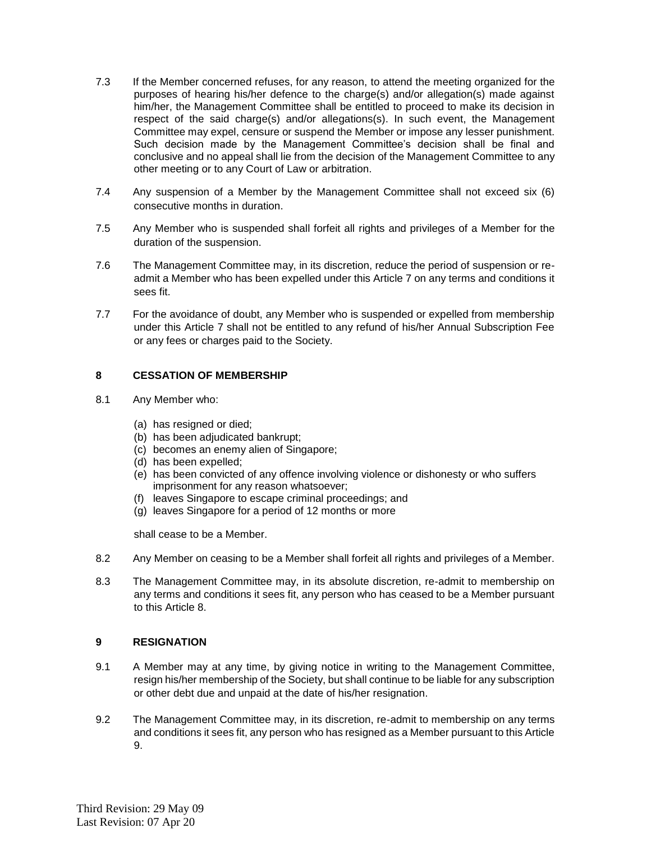- 7.3 If the Member concerned refuses, for any reason, to attend the meeting organized for the purposes of hearing his/her defence to the charge(s) and/or allegation(s) made against him/her, the Management Committee shall be entitled to proceed to make its decision in respect of the said charge(s) and/or allegations(s). In such event, the Management Committee may expel, censure or suspend the Member or impose any lesser punishment. Such decision made by the Management Committee's decision shall be final and conclusive and no appeal shall lie from the decision of the Management Committee to any other meeting or to any Court of Law or arbitration.
- 7.4 Any suspension of a Member by the Management Committee shall not exceed six (6) consecutive months in duration.
- 7.5 Any Member who is suspended shall forfeit all rights and privileges of a Member for the duration of the suspension.
- 7.6 The Management Committee may, in its discretion, reduce the period of suspension or readmit a Member who has been expelled under this Article 7 on any terms and conditions it sees fit.
- 7.7 For the avoidance of doubt, any Member who is suspended or expelled from membership under this Article 7 shall not be entitled to any refund of his/her Annual Subscription Fee or any fees or charges paid to the Society.

### **8 CESSATION OF MEMBERSHIP**

- 8.1 Any Member who:
	- (a) has resigned or died;
	- (b) has been adjudicated bankrupt;
	- (c) becomes an enemy alien of Singapore;
	- (d) has been expelled;
	- (e) has been convicted of any offence involving violence or dishonesty or who suffers imprisonment for any reason whatsoever;
	- (f) leaves Singapore to escape criminal proceedings; and
	- (g) leaves Singapore for a period of 12 months or more

shall cease to be a Member.

- 8.2 Any Member on ceasing to be a Member shall forfeit all rights and privileges of a Member.
- 8.3 The Management Committee may, in its absolute discretion, re-admit to membership on any terms and conditions it sees fit, any person who has ceased to be a Member pursuant to this Article 8.

### **9 RESIGNATION**

- 9.1 A Member may at any time, by giving notice in writing to the Management Committee, resign his/her membership of the Society, but shall continue to be liable for any subscription or other debt due and unpaid at the date of his/her resignation.
- 9.2 The Management Committee may, in its discretion, re-admit to membership on any terms and conditions it sees fit, any person who has resigned as a Member pursuant to this Article 9.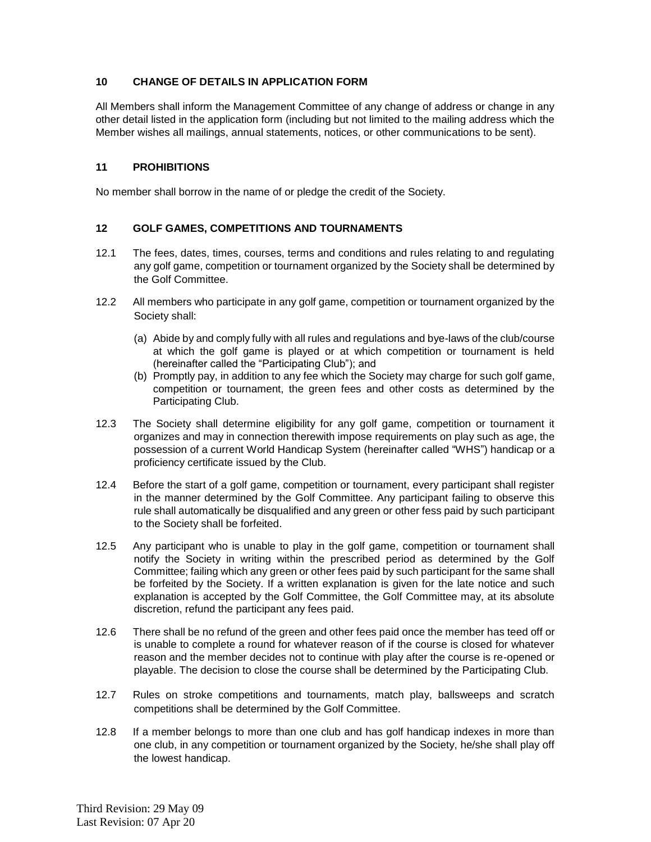# **10 CHANGE OF DETAILS IN APPLICATION FORM**

All Members shall inform the Management Committee of any change of address or change in any other detail listed in the application form (including but not limited to the mailing address which the Member wishes all mailings, annual statements, notices, or other communications to be sent).

### **11 PROHIBITIONS**

No member shall borrow in the name of or pledge the credit of the Society.

### **12 GOLF GAMES, COMPETITIONS AND TOURNAMENTS**

- 12.1 The fees, dates, times, courses, terms and conditions and rules relating to and regulating any golf game, competition or tournament organized by the Society shall be determined by the Golf Committee.
- 12.2 All members who participate in any golf game, competition or tournament organized by the Society shall:
	- (a) Abide by and comply fully with all rules and regulations and bye-laws of the club/course at which the golf game is played or at which competition or tournament is held (hereinafter called the "Participating Club"); and
	- (b) Promptly pay, in addition to any fee which the Society may charge for such golf game, competition or tournament, the green fees and other costs as determined by the Participating Club.
- 12.3 The Society shall determine eligibility for any golf game, competition or tournament it organizes and may in connection therewith impose requirements on play such as age, the possession of a current World Handicap System (hereinafter called "WHS") handicap or a proficiency certificate issued by the Club.
- 12.4 Before the start of a golf game, competition or tournament, every participant shall register in the manner determined by the Golf Committee. Any participant failing to observe this rule shall automatically be disqualified and any green or other fess paid by such participant to the Society shall be forfeited.
- 12.5 Any participant who is unable to play in the golf game, competition or tournament shall notify the Society in writing within the prescribed period as determined by the Golf Committee; failing which any green or other fees paid by such participant for the same shall be forfeited by the Society. If a written explanation is given for the late notice and such explanation is accepted by the Golf Committee, the Golf Committee may, at its absolute discretion, refund the participant any fees paid.
- 12.6 There shall be no refund of the green and other fees paid once the member has teed off or is unable to complete a round for whatever reason of if the course is closed for whatever reason and the member decides not to continue with play after the course is re-opened or playable. The decision to close the course shall be determined by the Participating Club.
- 12.7 Rules on stroke competitions and tournaments, match play, ballsweeps and scratch competitions shall be determined by the Golf Committee.
- 12.8 If a member belongs to more than one club and has golf handicap indexes in more than one club, in any competition or tournament organized by the Society, he/she shall play off the lowest handicap.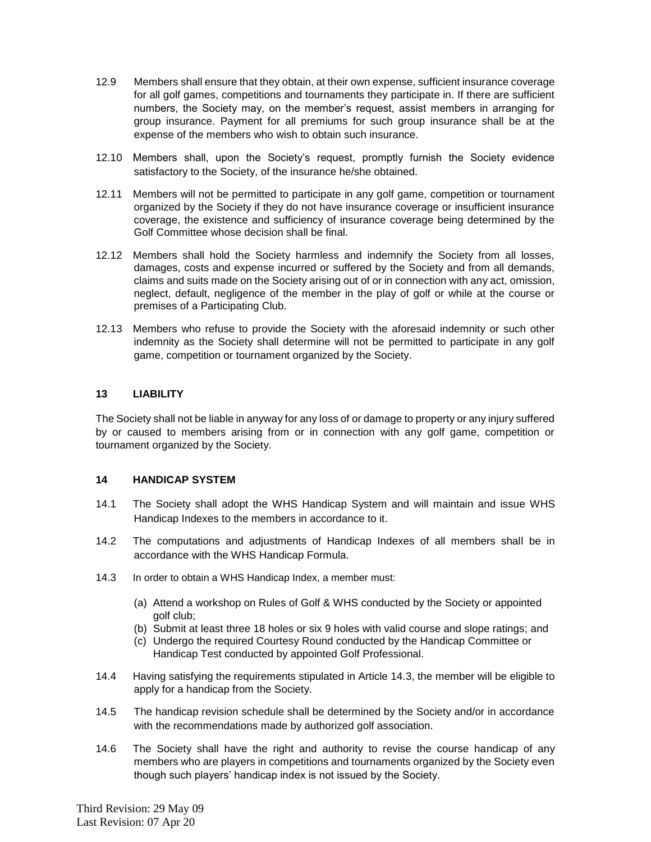- 12.9 Members shall ensure that they obtain, at their own expense, sufficient insurance coverage for all golf games, competitions and tournaments they participate in. If there are sufficient numbers, the Society may, on the member's request, assist members in arranging for group insurance. Payment for all premiums for such group insurance shall be at the expense of the members who wish to obtain such insurance.
- 12.10 Members shall, upon the Society's request, promptly furnish the Society evidence satisfactory to the Society, of the insurance he/she obtained.
- 12.11 Members will not be permitted to participate in any golf game, competition or tournament organized by the Society if they do not have insurance coverage or insufficient insurance coverage, the existence and sufficiency of insurance coverage being determined by the Golf Committee whose decision shall be final.
- 12.12 Members shall hold the Society harmless and indemnify the Society from all losses, damages, costs and expense incurred or suffered by the Society and from all demands, claims and suits made on the Society arising out of or in connection with any act, omission, neglect, default, negligence of the member in the play of golf or while at the course or premises of a Participating Club.
- 12.13 Members who refuse to provide the Society with the aforesaid indemnity or such other indemnity as the Society shall determine will not be permitted to participate in any golf game, competition or tournament organized by the Society.

### **13 LIABILITY**

The Society shall not be liable in anyway for any loss of or damage to property or any injury suffered by or caused to members arising from or in connection with any golf game, competition or tournament organized by the Society.

#### **14 HANDICAP SYSTEM**

- 14.1 The Society shall adopt the WHS Handicap System and will maintain and issue WHS Handicap Indexes to the members in accordance to it.
- 14.2 The computations and adjustments of Handicap Indexes of all members shall be in accordance with the WHS Handicap Formula.
- 14.3 In order to obtain a WHS Handicap Index, a member must:
	- (a) Attend a workshop on Rules of Golf & WHS conducted by the Society or appointed golf club;
	- (b) Submit at least three 18 holes or six 9 holes with valid course and slope ratings; and
	- (c) Undergo the required Courtesy Round conducted by the Handicap Committee or Handicap Test conducted by appointed Golf Professional.
- 14.4 Having satisfying the requirements stipulated in Article 14.3, the member will be eligible to apply for a handicap from the Society.
- 14.5 The handicap revision schedule shall be determined by the Society and/or in accordance with the recommendations made by authorized golf association.
- 14.6 The Society shall have the right and authority to revise the course handicap of any members who are players in competitions and tournaments organized by the Society even though such players' handicap index is not issued by the Society.